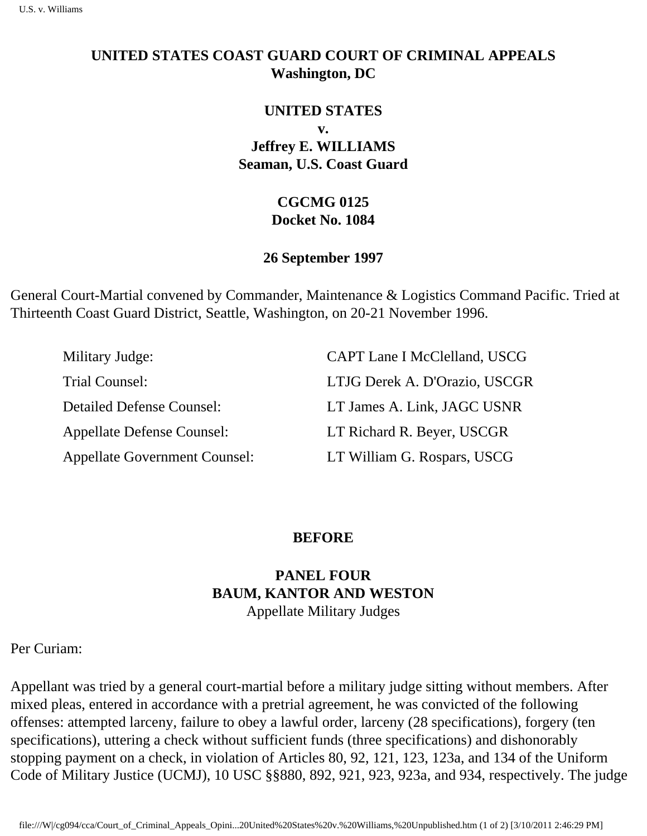### **UNITED STATES COAST GUARD COURT OF CRIMINAL APPEALS Washington, DC**

# **UNITED STATES v. Jeffrey E. WILLIAMS Seaman, U.S. Coast Guard**

### **CGCMG 0125 Docket No. 1084**

#### **26 September 1997**

General Court-Martial convened by Commander, Maintenance & Logistics Command Pacific. Tried at Thirteenth Coast Guard District, Seattle, Washington, on 20-21 November 1996.

| Military Judge:                      | CAPT Lane I McClelland, USCG  |
|--------------------------------------|-------------------------------|
| Trial Counsel:                       | LTJG Derek A. D'Orazio, USCGR |
| <b>Detailed Defense Counsel:</b>     | LT James A. Link, JAGC USNR   |
| <b>Appellate Defense Counsel:</b>    | LT Richard R. Beyer, USCGR    |
| <b>Appellate Government Counsel:</b> | LT William G. Rospars, USCG   |

#### **BEFORE**

# **PANEL FOUR BAUM, KANTOR AND WESTON** Appellate Military Judges

Per Curiam:

Appellant was tried by a general court-martial before a military judge sitting without members. After mixed pleas, entered in accordance with a pretrial agreement, he was convicted of the following offenses: attempted larceny, failure to obey a lawful order, larceny (28 specifications), forgery (ten specifications), uttering a check without sufficient funds (three specifications) and dishonorably stopping payment on a check, in violation of Articles 80, 92, 121, 123, 123a, and 134 of the Uniform Code of Military Justice (UCMJ), 10 USC §§880, 892, 921, 923, 923a, and 934, respectively. The judge